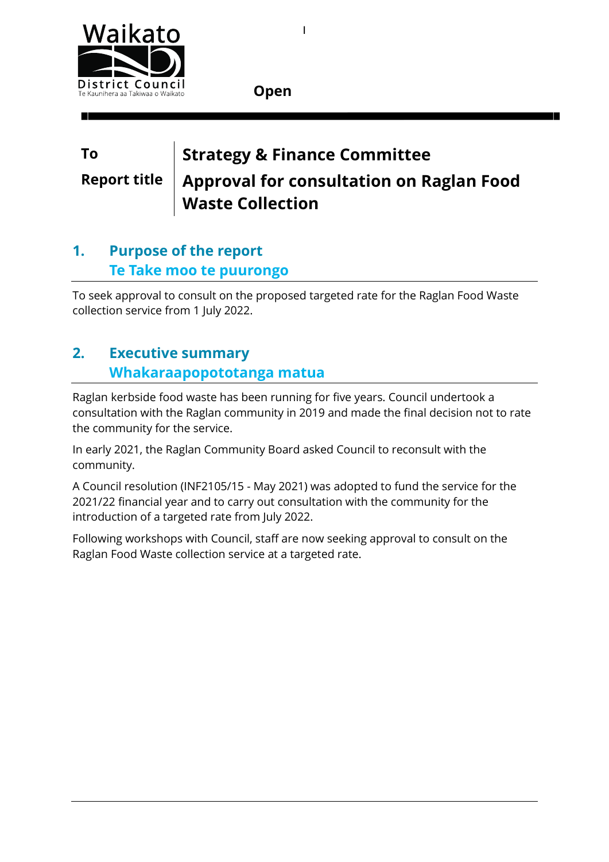

**Open**

# **To Strategy & Finance Committee Report title Approval for consultation on Raglan Food Waste Collection**

1

### **1. Purpose of the report Te Take moo te puurongo**

To seek approval to consult on the proposed targeted rate for the Raglan Food Waste collection service from 1 July 2022.

### **2. Executive summary Whakaraapopototanga matua**

Raglan kerbside food waste has been running for five years. Council undertook a consultation with the Raglan community in 2019 and made the final decision not to rate the community for the service.

In early 2021, the Raglan Community Board asked Council to reconsult with the community.

A Council resolution (INF2105/15 - May 2021) was adopted to fund the service for the 2021/22 financial year and to carry out consultation with the community for the introduction of a targeted rate from July 2022.

Following workshops with Council, staff are now seeking approval to consult on the Raglan Food Waste collection service at a targeted rate.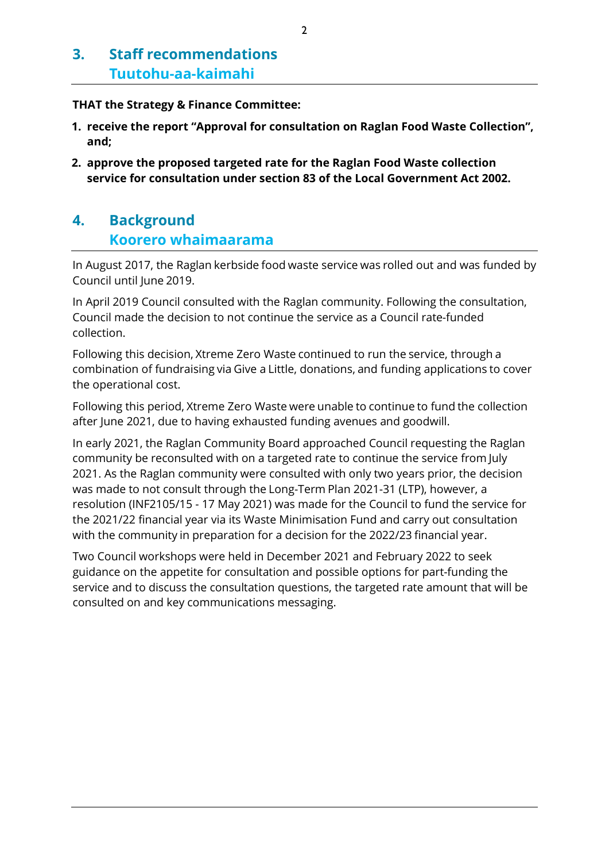### **3. Staff recommendations Tuutohu-aa-kaimahi**

#### **THAT the Strategy & Finance Committee:**

- **1. receive the report "Approval for consultation on Raglan Food Waste Collection", and;**
- **2. approve the proposed targeted rate for the Raglan Food Waste collection service for consultation under section 83 of the Local Government Act 2002.**

### **4. Background Koorero whaimaarama**

In August 2017, the Raglan kerbside food waste service was rolled out and was funded by Council until June 2019.

In April 2019 Council consulted with the Raglan community. Following the consultation, Council made the decision to not continue the service as a Council rate-funded collection.

Following this decision, Xtreme Zero Waste continued to run the service, through a combination of fundraising via Give a Little, donations, and funding applications to cover the operational cost.

Following this period, Xtreme Zero Waste were unable to continue to fund the collection after June 2021, due to having exhausted funding avenues and goodwill.

In early 2021, the Raglan Community Board approached Council requesting the Raglan community be reconsulted with on a targeted rate to continue the service from July 2021. As the Raglan community were consulted with only two years prior, the decision was made to not consult through the Long-Term Plan 2021-31 (LTP), however, a resolution (INF2105/15 - 17 May 2021) was made for the Council to fund the service for the 2021/22 financial year via its Waste Minimisation Fund and carry out consultation with the community in preparation for a decision for the 2022/23 financial year.

Two Council workshops were held in December 2021 and February 2022 to seek guidance on the appetite for consultation and possible options for part-funding the service and to discuss the consultation questions, the targeted rate amount that will be consulted on and key communications messaging.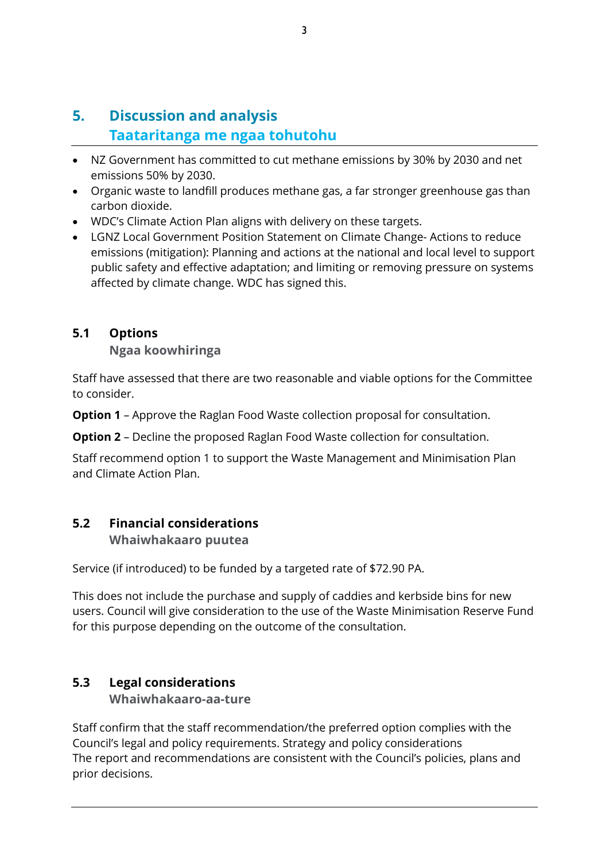### **5. Discussion and analysis Taataritanga me ngaa tohutohu**

- NZ Government has committed to cut methane emissions by 30% by 2030 and net emissions 50% by 2030.
- Organic waste to landfill produces methane gas, a far stronger greenhouse gas than carbon dioxide.
- WDC's Climate Action Plan aligns with delivery on these targets.
- LGNZ Local Government Position Statement on Climate Change- Actions to reduce emissions (mitigation): Planning and actions at the national and local level to support public safety and effective adaptation; and limiting or removing pressure on systems affected by climate change. WDC has signed this.

#### <span id="page-2-0"></span>**5.1 Options**

**Ngaa koowhiringa**

Staff have assessed that there are two reasonable and viable options for the Committee to consider.

**Option 1** – Approve the Raglan Food Waste collection proposal for consultation.

**Option 2** – Decline the proposed Raglan Food Waste collection for consultation.

Staff recommend option 1 to support the Waste Management and Minimisation Plan and Climate Action Plan.

#### **5.2 Financial considerations**

**Whaiwhakaaro puutea**

Service (if introduced) to be funded by a targeted rate of \$72.90 PA.

This does not include the purchase and supply of caddies and kerbside bins for new users. Council will give consideration to the use of the Waste Minimisation Reserve Fund for this purpose depending on the outcome of the consultation.

#### <span id="page-2-2"></span>**5.3 Legal considerations**

#### <span id="page-2-1"></span>**Whaiwhakaaro-aa-ture**

Staff confirm that the staff recommendation/the preferred option complies with the Council's legal and policy requirements. Strategy and policy considerations The report and recommendations are consistent with the Council's policies, plans and prior decisions.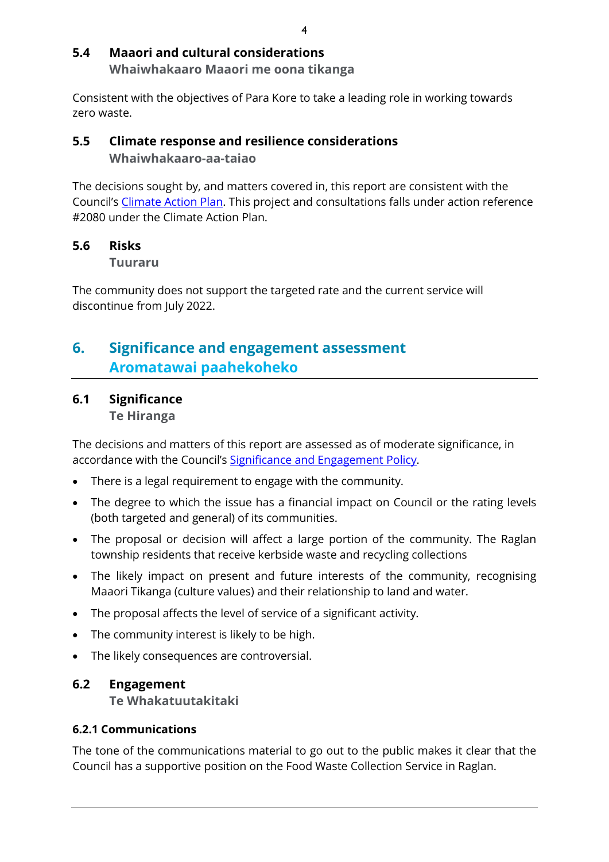#### <span id="page-3-2"></span>**5.4 Maaori and cultural considerations Whaiwhakaaro Maaori me oona tikanga**

Consistent with the objectives of Para Kore to take a leading role in working towards zero waste.

#### **5.5 Climate response and resilience considerations Whaiwhakaaro-aa-taiao**

The decisions sought by, and matters covered in, this report are consistent with the Council's [Climate Action Plan.](https://www.waikatodistrict.govt.nz/your-council/plans-policies-and-bylaws/plans/climate-action-plan) This project and consultations falls under action reference #2080 under the Climate Action Plan.

#### **5.6 Risks**

**Tuuraru**

The community does not support the targeted rate and the current service will discontinue from July 2022.

### **6. Significance and engagement assessment Aromatawai paahekoheko**

#### <span id="page-3-0"></span>**6.1 Significance**

**Te Hiranga**

The decisions and matters of this report are assessed as of moderate significance, in accordance with the Council's [Significance and Engagement Policy.](https://wdcsitefinity.blob.core.windows.net/sitefinity-storage/docs/default-source/your-council/plans-policies-and-bylaws/policies/significance-and-engagement-policy.pdf?sfvrsn=bbc8b9c9_18)

- There is a legal requirement to engage with the community.
- The degree to which the issue has a financial impact on Council or the rating levels (both targeted and general) of its communities.
- The proposal or decision will affect a large portion of the community. The Raglan township residents that receive kerbside waste and recycling collections
- The likely impact on present and future interests of the community, recognising Maaori Tikanga (culture values) and their relationship to land and water.
- The proposal affects the level of service of a significant activity.
- The community interest is likely to be high.
- The likely consequences are controversial.

#### <span id="page-3-1"></span>**6.2 Engagement**

**Te Whakatuutakitaki**

#### **6.2.1 Communications**

The tone of the communications material to go out to the public makes it clear that the Council has a supportive position on the Food Waste Collection Service in Raglan.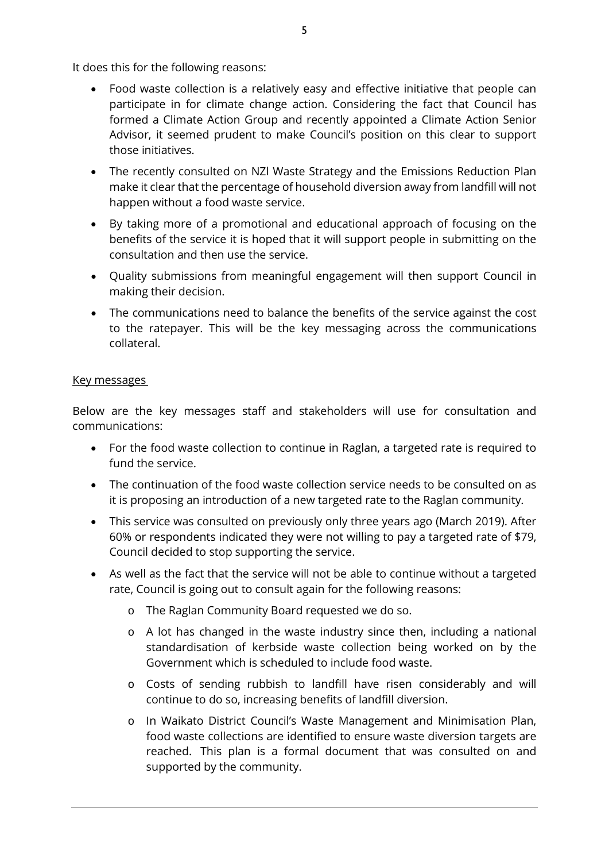It does this for the following reasons:

- Food waste collection is a relatively easy and effective initiative that people can participate in for climate change action. Considering the fact that Council has formed a Climate Action Group and recently appointed a Climate Action Senior Advisor, it seemed prudent to make Council's position on this clear to support those initiatives.
- The recently consulted on NZl Waste Strategy and the Emissions Reduction Plan make it clear that the percentage of household diversion away from landfill will not happen without a food waste service.
- By taking more of a promotional and educational approach of focusing on the benefits of the service it is hoped that it will support people in submitting on the consultation and then use the service.
- Quality submissions from meaningful engagement will then support Council in making their decision.
- The communications need to balance the benefits of the service against the cost to the ratepayer. This will be the key messaging across the communications collateral.

#### Key messages

Below are the key messages staff and stakeholders will use for consultation and communications:

- For the food waste collection to continue in Raglan, a targeted rate is required to fund the service.
- The continuation of the food waste collection service needs to be consulted on as it is proposing an introduction of a new targeted rate to the Raglan community.
- This service was consulted on previously only three years ago (March 2019). After 60% or respondents indicated they were not willing to pay a targeted rate of \$79, Council decided to stop supporting the service.
- As well as the fact that the service will not be able to continue without a targeted rate, Council is going out to consult again for the following reasons:
	- o The Raglan Community Board requested we do so.
	- o A lot has changed in the waste industry since then, including a national standardisation of kerbside waste collection being worked on by the Government which is scheduled to include food waste.
	- o Costs of sending rubbish to landfill have risen considerably and will continue to do so, increasing benefits of landfill diversion.
	- o In Waikato District Council's Waste Management and Minimisation Plan, food waste collections are identified to ensure waste diversion targets are reached. This plan is a formal document that was consulted on and supported by the community.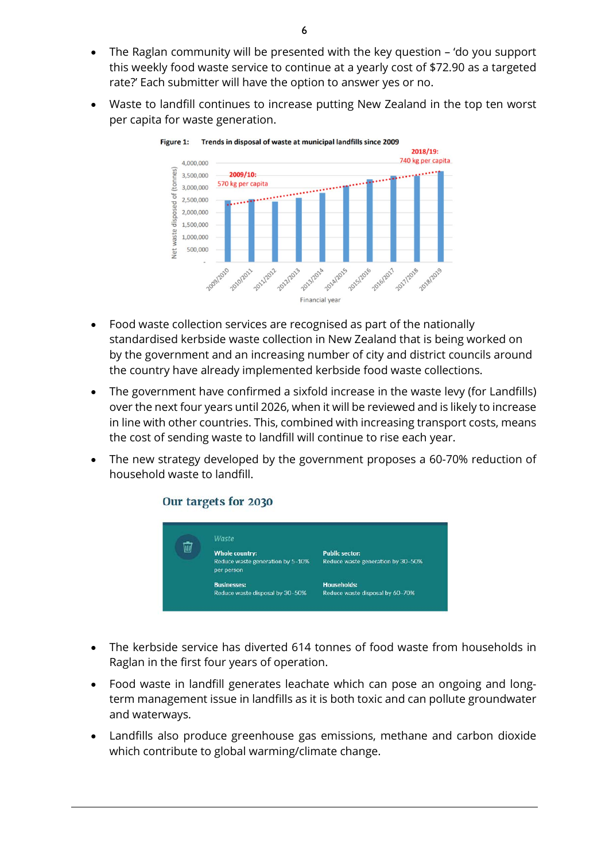- The Raglan community will be presented with the key question 'do you support this weekly food waste service to continue at a yearly cost of \$72.90 as a targeted rate?' Each submitter will have the option to answer yes or no.
- Waste to landfill continues to increase putting New Zealand in the top ten worst per capita for waste generation.



- Food waste collection services are recognised as part of the nationally standardised kerbside waste collection in New Zealand that is being worked on by the government and an increasing number of city and district councils around the country have already implemented kerbside food waste collections.
- The government have confirmed a sixfold increase in the waste levy (for Landfills) over the next four years until 2026, when it will be reviewed and is likely to increase in line with other countries. This, combined with increasing transport costs, means the cost of sending waste to landfill will continue to rise each year.
- The new strategy developed by the government proposes a 60-70% reduction of household waste to landfill.

#### Our targets for 2030



- The kerbside service has diverted 614 tonnes of food waste from households in Raglan in the first four years of operation.
- Food waste in landfill generates leachate which can pose an ongoing and longterm management issue in landfills as it is both toxic and can pollute groundwater and waterways.
- Landfills also produce greenhouse gas emissions, methane and carbon dioxide which contribute to global warming/climate change.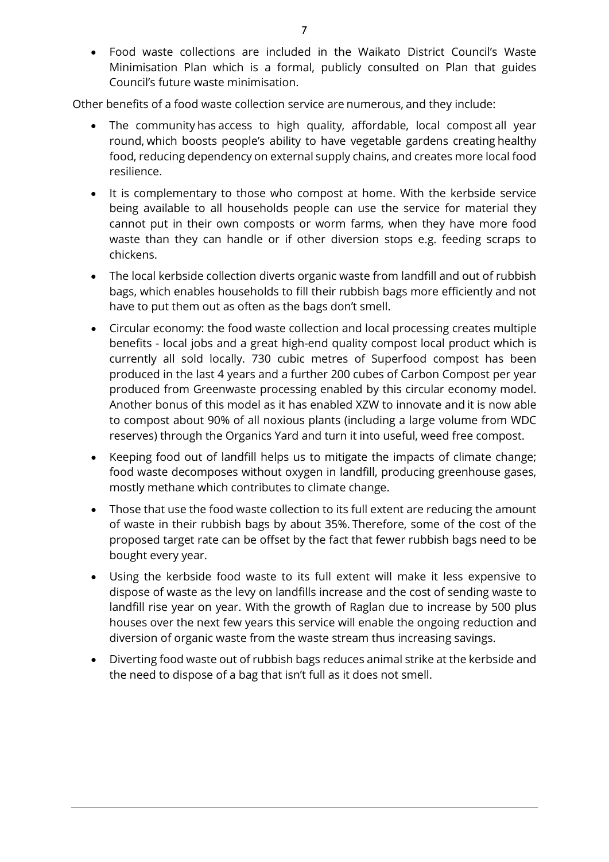• Food waste collections are included in the Waikato District Council's Waste Minimisation Plan which is a formal, publicly consulted on Plan that guides Council's future waste minimisation.  

Other benefits of a food waste collection service are numerous, and they include:  

- The community has access to high quality, affordable, local compost all year round, which boosts people's ability to have vegetable gardens creating healthy food, reducing dependency on external supply chains, and creates more local food resilience.
- It is complementary to those who compost at home. With the kerbside service being available to all households people can use the service for material they cannot put in their own composts or worm farms, when they have more food waste than they can handle or if other diversion stops e.g. feeding scraps to chickens.
- The local kerbside collection diverts organic waste from landfill and out of rubbish bags, which enables households to fill their rubbish bags more efficiently and not have to put them out as often as the bags don't smell.
- Circular economy: the food waste collection and local processing creates multiple benefits - local jobs and a great high-end quality compost local product which is currently all sold locally. 730 cubic metres of Superfood compost has been produced in the last 4 years and a further 200 cubes of Carbon Compost per year produced from Greenwaste processing enabled by this circular economy model. Another bonus of this model as it has enabled XZW to innovate and it is now able to compost about 90% of all noxious plants (including a large volume from WDC reserves) through the Organics Yard and turn it into useful, weed free compost.
- Keeping food out of landfill helps us to mitigate the impacts of climate change; food waste decomposes without oxygen in landfill, producing greenhouse gases, mostly methane which contributes to climate change.
- Those that use the food waste collection to its full extent are reducing the amount of waste in their rubbish bags by about 35%. Therefore, some of the cost of the proposed target rate can be offset by the fact that fewer rubbish bags need to be bought every year.
- Using the kerbside food waste to its full extent will make it less expensive to dispose of waste as the levy on landfills increase and the cost of sending waste to landfill rise year on year. With the growth of Raglan due to increase by 500 plus houses over the next few years this service will enable the ongoing reduction and diversion of organic waste from the waste stream thus increasing savings.
- Diverting food waste out of rubbish bags reduces animal strike at the kerbside and the need to dispose of a bag that isn't full as it does not smell.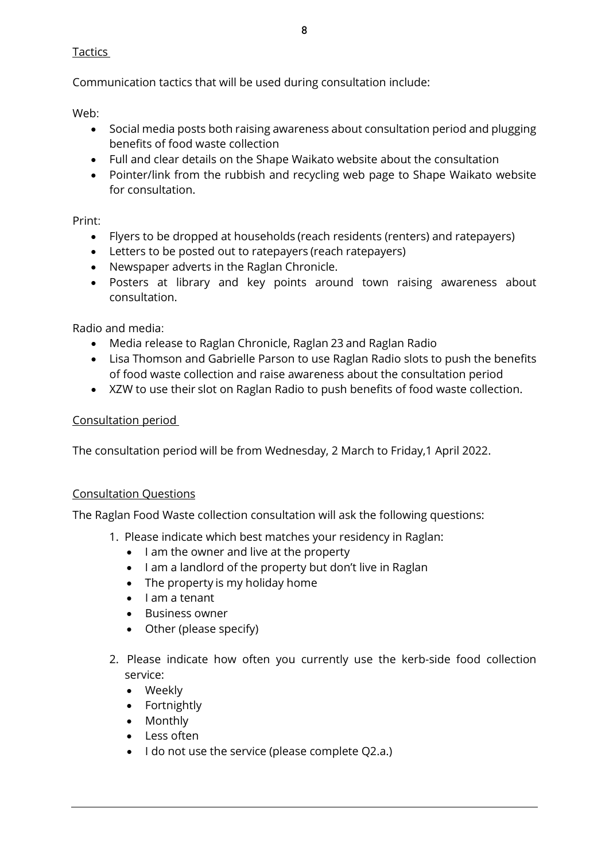Tactics

Communication tactics that will be used during consultation include:

Web:

- Social media posts both raising awareness about consultation period and plugging benefits of food waste collection
- Full and clear details on the Shape Waikato website about the consultation
- Pointer/link from the rubbish and recycling web page to Shape Waikato website for consultation.

Print:

- Flyers to be dropped at households (reach residents (renters) and ratepayers)
- Letters to be posted out to ratepayers (reach ratepayers)
- Newspaper adverts in the Raglan Chronicle.
- Posters at library and key points around town raising awareness about consultation.

Radio and media:

- Media release to Raglan Chronicle, Raglan 23 and Raglan Radio
- Lisa Thomson and Gabrielle Parson to use Raglan Radio slots to push the benefits of food waste collection and raise awareness about the consultation period
- XZW to use their slot on Raglan Radio to push benefits of food waste collection.

#### Consultation period

The consultation period will be from Wednesday, 2 March to Friday,1 April 2022.

#### Consultation Questions

The Raglan Food Waste collection consultation will ask the following questions:

- 1. Please indicate which best matches your residency in Raglan:
	- I am the owner and live at the property
	- I am a landlord of the property but don't live in Raglan
	- The property is my holiday home
	- I am a tenant
	- Business owner
	- Other (please specify)
- 2. Please indicate how often you currently use the kerb-side food collection service:
	- Weekly
	- Fortnightly
	- Monthly
	- Less often
	- I do not use the service (please complete Q2.a.)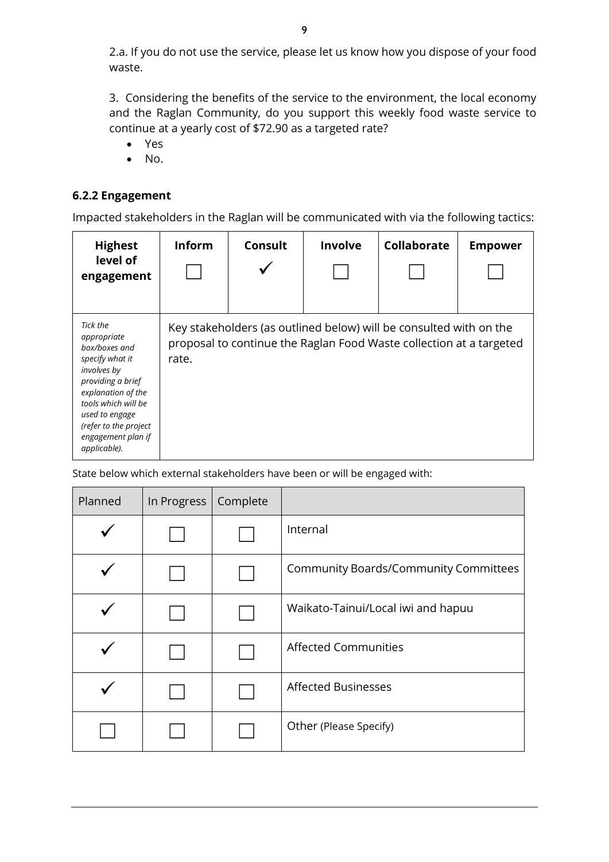2.a. If you do not use the service, please let us know how you dispose of your food waste.

3. Considering the benefits of the service to the environment, the local economy and the Raglan Community, do you support this weekly food waste service to continue at a yearly cost of \$72.90 as a targeted rate?

- Yes
- No.

#### **6.2.2 Engagement**

Impacted stakeholders in the Raglan will be communicated with via the following tactics:

| <b>Highest</b><br>level of<br>engagement                                                                                                                                                                                      | <b>Inform</b>                                                                                                                                      | Consult | Involve | <b>Collaborate</b> | <b>Empower</b> |
|-------------------------------------------------------------------------------------------------------------------------------------------------------------------------------------------------------------------------------|----------------------------------------------------------------------------------------------------------------------------------------------------|---------|---------|--------------------|----------------|
| Tick the<br>appropriate<br>box/boxes and<br>specify what it<br>involves by<br>providing a brief<br>explanation of the<br>tools which will be<br>used to engage<br>(refer to the project<br>engagement plan if<br>applicable). | Key stakeholders (as outlined below) will be consulted with on the<br>proposal to continue the Raglan Food Waste collection at a targeted<br>rate. |         |         |                    |                |

State below which external stakeholders have been or will be engaged with:

| Planned | In Progress | Complete |                                              |
|---------|-------------|----------|----------------------------------------------|
|         |             |          | Internal                                     |
|         |             |          | <b>Community Boards/Community Committees</b> |
|         |             |          | Waikato-Tainui/Local iwi and hapuu           |
|         |             |          | <b>Affected Communities</b>                  |
|         |             |          | <b>Affected Businesses</b>                   |
|         |             |          | Other (Please Specify)                       |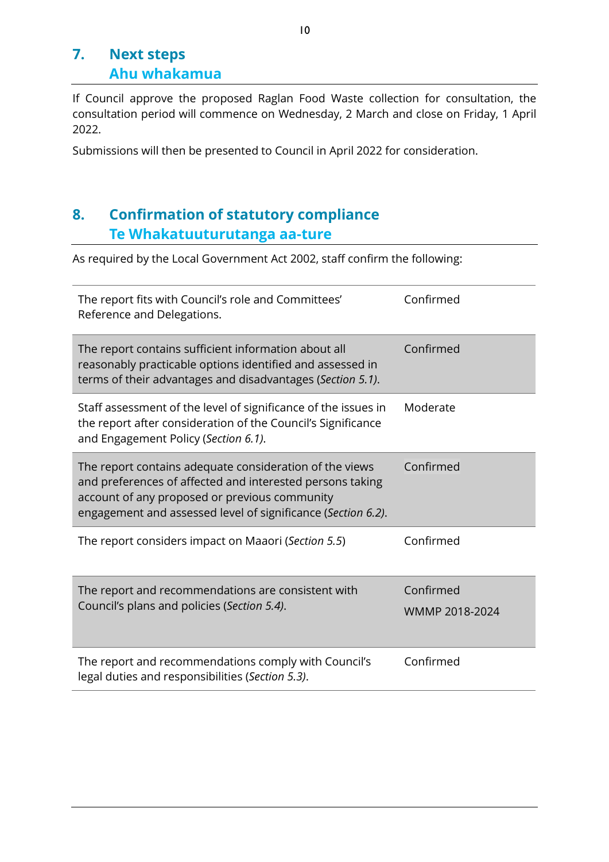### **7. Next steps Ahu whakamua**

If Council approve the proposed Raglan Food Waste collection for consultation, the consultation period will commence on Wednesday, 2 March and close on Friday, 1 April 2022.

Submissions will then be presented to Council in April 2022 for consideration.

### **8. Confirmation of statutory compliance Te Whakatuuturutanga aa-ture**

As required by the Local Government Act 2002, staff confirm the following:

| The report fits with Council's role and Committees'<br>Reference and Delegations.                                                                                                                                                     | Confirmed                   |
|---------------------------------------------------------------------------------------------------------------------------------------------------------------------------------------------------------------------------------------|-----------------------------|
| The report contains sufficient information about all<br>reasonably practicable options identified and assessed in<br>terms of their advantages and disadvantages (Section 5.1).                                                       | Confirmed                   |
| Staff assessment of the level of significance of the issues in<br>the report after consideration of the Council's Significance<br>and Engagement Policy (Section 6.1).                                                                | Moderate                    |
| The report contains adequate consideration of the views<br>and preferences of affected and interested persons taking<br>account of any proposed or previous community<br>engagement and assessed level of significance (Section 6.2). | Confirmed                   |
| The report considers impact on Maaori (Section 5.5)                                                                                                                                                                                   | Confirmed                   |
| The report and recommendations are consistent with<br>Council's plans and policies (Section 5.4).                                                                                                                                     | Confirmed<br>WMMP 2018-2024 |
| The report and recommendations comply with Council's<br>legal duties and responsibilities (Section 5.3).                                                                                                                              | Confirmed                   |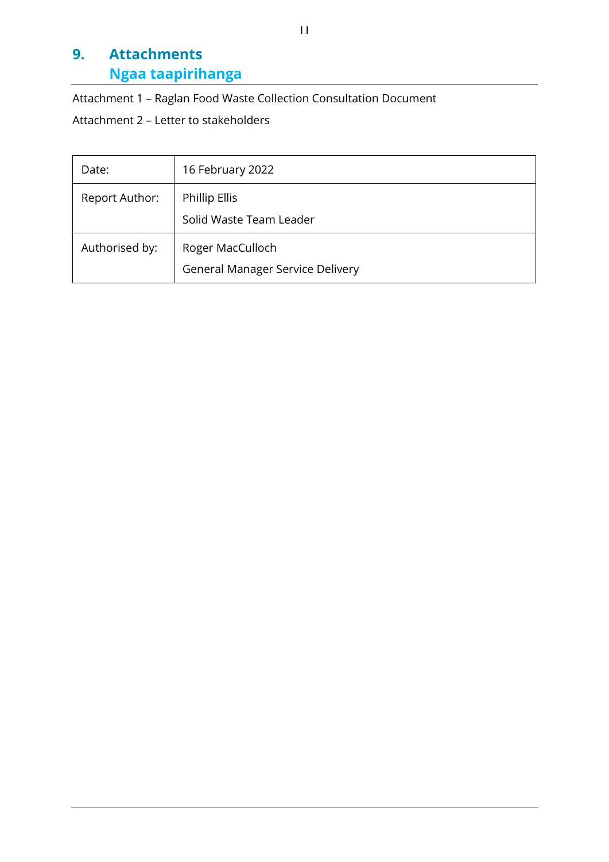## **9. Attachments Ngaa taapirihanga**

Attachment 1 – Raglan Food Waste Collection Consultation Document

Attachment 2 – Letter to stakeholders

| Date:          | 16 February 2022                                            |
|----------------|-------------------------------------------------------------|
| Report Author: | <b>Phillip Ellis</b><br>Solid Waste Team Leader             |
| Authorised by: | Roger MacCulloch<br><b>General Manager Service Delivery</b> |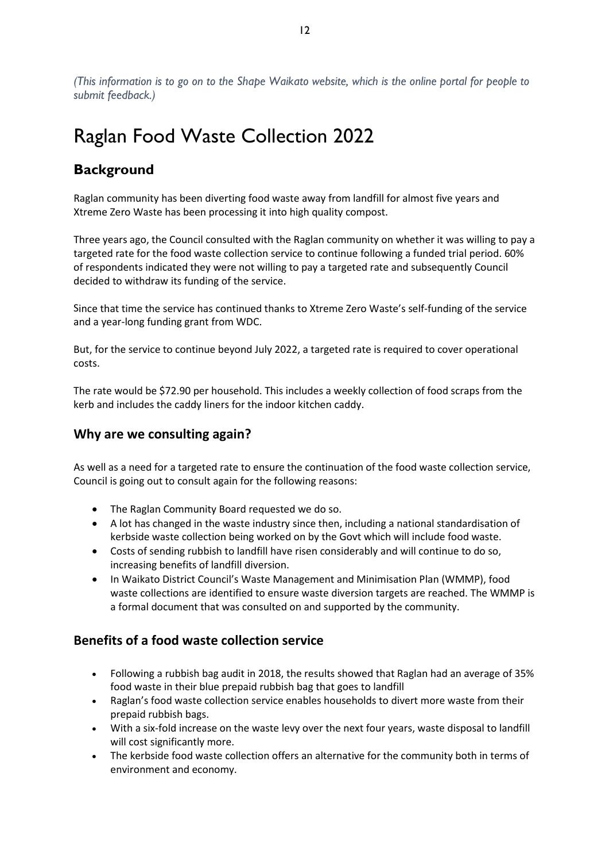*(This information is to go on to the Shape Waikato website, which is the online portal for people to submit feedback.)*

## Raglan Food Waste Collection 2022

### **Background**

Raglan community has been diverting food waste away from landfill for almost five years and Xtreme Zero Waste has been processing it into high quality compost.

Three years ago, the Council consulted with the Raglan community on whether it was willing to pay a targeted rate for the food waste collection service to continue following a funded trial period. 60% of respondents indicated they were not willing to pay a targeted rate and subsequently Council decided to withdraw its funding of the service.

Since that time the service has continued thanks to Xtreme Zero Waste's self-funding of the service and a year-long funding grant from WDC.

But, for the service to continue beyond July 2022, a targeted rate is required to cover operational costs.

The rate would be \$72.90 per household. This includes a weekly collection of food scraps from the kerb and includes the caddy liners for the indoor kitchen caddy.

#### **Why are we consulting again?**

As well as a need for a targeted rate to ensure the continuation of the food waste collection service, Council is going out to consult again for the following reasons:

- The Raglan Community Board requested we do so.
- A lot has changed in the waste industry since then, including a national standardisation of kerbside waste collection being worked on by the Govt which will include food waste.
- Costs of sending rubbish to landfill have risen considerably and will continue to do so, increasing benefits of landfill diversion.
- In Waikato District Council's Waste Management and Minimisation Plan (WMMP), food waste collections are identified to ensure waste diversion targets are reached. The WMMP is a formal document that was consulted on and supported by the community.

#### **Benefits of a food waste collection service**

- Following a rubbish bag audit in 2018, the results showed that Raglan had an average of 35% food waste in their blue prepaid rubbish bag that goes to landfill
- Raglan's food waste collection service enables households to divert more waste from their prepaid rubbish bags.
- With a six-fold increase on the waste levy over the next four years, waste disposal to landfill will cost significantly more.
- The kerbside food waste collection offers an alternative for the community both in terms of environment and economy.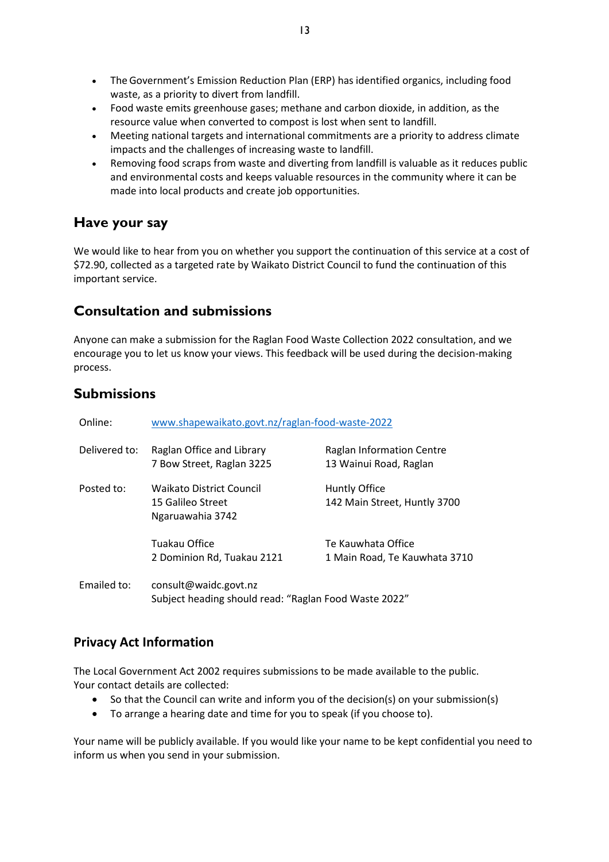- The Government's Emission Reduction Plan (ERP) has identified organics, including food waste, as a priority to divert from landfill.
- Food waste emits greenhouse gases; methane and carbon dioxide, in addition, as the resource value when converted to compost is lost when sent to landfill.
- Meeting national targets and international commitments are a priority to address climate impacts and the challenges of increasing waste to landfill.
- Removing food scraps from waste and diverting from landfill is valuable as it reduces public and environmental costs and keeps valuable resources in the community where it can be made into local products and create job opportunities.

#### **Have your say**

We would like to hear from you on whether you support the continuation of this service at a cost of \$72.90, collected as a targeted rate by Waikato District Council to fund the continuation of this important service.

#### **Consultation and submissions**

Anyone can make a submission for the Raglan Food Waste Collection 2022 consultation, and we encourage you to let us know your views. This feedback will be used during the decision-making process.

#### **Submissions**

| Online:       | www.shapewaikato.govt.nz/raglan-food-waste-2022                                |                                                     |  |
|---------------|--------------------------------------------------------------------------------|-----------------------------------------------------|--|
| Delivered to: | Raglan Office and Library<br>7 Bow Street, Raglan 3225                         | Raglan Information Centre<br>13 Wainui Road, Raglan |  |
| Posted to:    | <b>Waikato District Council</b><br>15 Galileo Street<br>Ngaruawahia 3742       | Huntly Office<br>142 Main Street, Huntly 3700       |  |
|               | Tuakau Office<br>2 Dominion Rd, Tuakau 2121                                    | Te Kauwhata Office<br>1 Main Road, Te Kauwhata 3710 |  |
| Emailed to:   | consult@waidc.govt.nz<br>Subject heading should read: "Raglan Food Waste 2022" |                                                     |  |

#### **Privacy Act Information**

The Local Government Act 2002 requires submissions to be made available to the public. Your contact details are collected:

- So that the Council can write and inform you of the decision(s) on your submission(s)
- To arrange a hearing date and time for you to speak (if you choose to).

Your name will be publicly available. If you would like your name to be kept confidential you need to inform us when you send in your submission.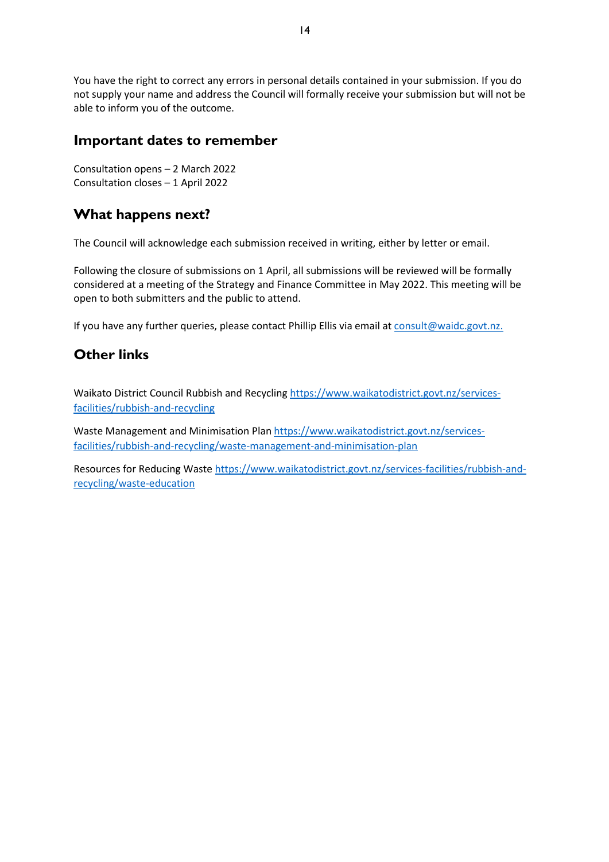You have the right to correct any errors in personal details contained in your submission. If you do not supply your name and address the Council will formally receive your submission but will not be able to inform you of the outcome.

#### **Important dates to remember**

Consultation opens – 2 March 2022 Consultation closes – 1 April 2022

#### **What happens next?**

The Council will acknowledge each submission received in writing, either by letter or email.

Following the closure of submissions on 1 April, all submissions will be reviewed will be formally considered at a meeting of the Strategy and Finance Committee in May 2022. This meeting will be open to both submitters and the public to attend.

If you have any further queries, please contact Phillip Ellis via email a[t consult@waidc.govt.nz.](mailto:consult@waidc.govt.nz)

#### **Other links**

Waikato District Council Rubbish and Recyclin[g https://www.waikatodistrict.govt.nz/services](https://www.waikatodistrict.govt.nz/services-facilities/rubbish-and-recycling)[facilities/rubbish-and-recycling](https://www.waikatodistrict.govt.nz/services-facilities/rubbish-and-recycling)

Waste Management and Minimisation Plan [https://www.waikatodistrict.govt.nz/services](https://www.waikatodistrict.govt.nz/services-facilities/rubbish-and-recycling/waste-management-and-minimisation-plan)[facilities/rubbish-and-recycling/waste-management-and-minimisation-plan](https://www.waikatodistrict.govt.nz/services-facilities/rubbish-and-recycling/waste-management-and-minimisation-plan)

Resources for Reducing Waste [https://www.waikatodistrict.govt.nz/services-facilities/rubbish-and](https://www.waikatodistrict.govt.nz/services-facilities/rubbish-and-recycling/waste-education)[recycling/waste-education](https://www.waikatodistrict.govt.nz/services-facilities/rubbish-and-recycling/waste-education)